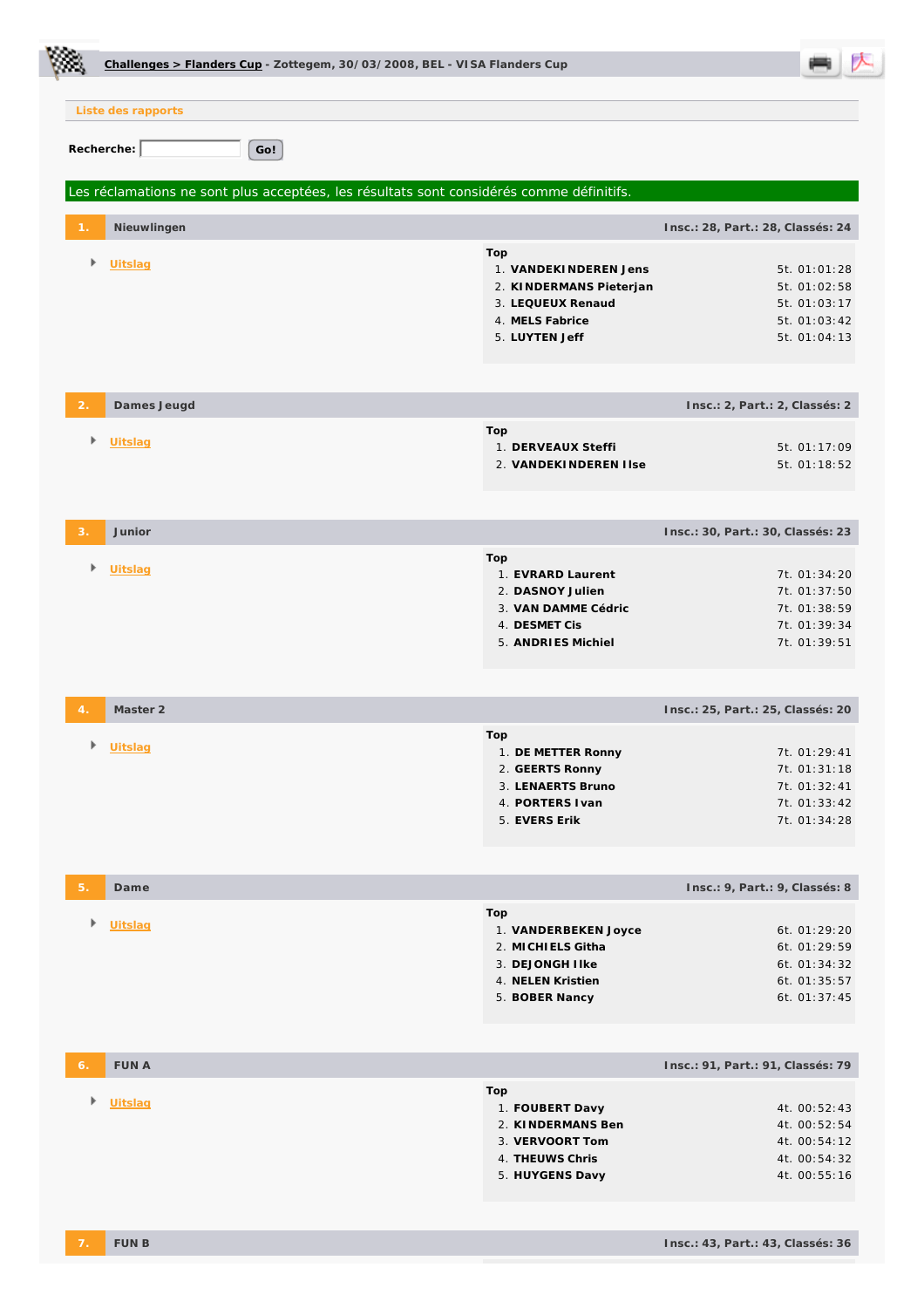|                |                    | Challenges > Flanders Cup - Zottegem, 30/03/2008, BEL - VISA Flanders Cup                |                                                                                                                   |                                                                              |
|----------------|--------------------|------------------------------------------------------------------------------------------|-------------------------------------------------------------------------------------------------------------------|------------------------------------------------------------------------------|
|                | Liste des rapports |                                                                                          |                                                                                                                   |                                                                              |
|                | Recherche:         | Go!                                                                                      |                                                                                                                   |                                                                              |
|                |                    | Les réclamations ne sont plus acceptées, les résultats sont considérés comme définitifs. |                                                                                                                   |                                                                              |
|                | Nieuwlingen        |                                                                                          |                                                                                                                   | Insc.: 28, Part.: 28, Classés: 24                                            |
| Þ.             | Uitslag            |                                                                                          | Top<br>1. VANDEKINDEREN Jens<br>2. KINDERMANS Pieterjan<br>3. LEQUEUX Renaud<br>4. MELS Fabrice<br>5. LUYTEN Jeff | 5t. 01:01:28<br>5t. 01:02:58<br>5t. 01:03:17<br>5t. 01:03:42<br>5t. 01:04:13 |
| $\overline{2}$ | Dames Jeugd        |                                                                                          |                                                                                                                   | Insc.: 2, Part.: 2, Classés: 2                                               |
| Þ.             | Uitslag            |                                                                                          | Top<br>1. DERVEAUX Steffi<br>2. VANDEKINDEREN I Ise                                                               | 5t. 01:17:09<br>5t. 01:18:52                                                 |
|                | Junior             |                                                                                          |                                                                                                                   | Insc.: 30, Part.: 30, Classés: 23                                            |
| Þ.             | Uitslag            |                                                                                          | Top<br>1. EVRARD Laurent<br>2. DASNOY Julien<br>3. VAN DAMME Cédric<br>4. DESMET Cis<br>5. ANDRIES Michiel        | 7t. 01:34:20<br>7t. 01:37:50<br>7t. 01:38:59<br>7t. 01:39:34<br>7t. 01:39:51 |
|                | Master 2           |                                                                                          |                                                                                                                   | Insc.: 25, Part.: 25, Classés: 20                                            |
| Þ              | Uitslag            |                                                                                          | Top<br>1. DE METTER Ronny<br>2. GEERTS Ronny<br>3. LENAERTS Bruno<br>4. PORTERS I van<br>5. EVERS Erik            | 7t. 01:29:41<br>7t. 01:31:18<br>7t. 01:32:41<br>7t. 01:33:42<br>7t. 01:34:28 |
|                |                    |                                                                                          |                                                                                                                   |                                                                              |
| 5.             | Dame               |                                                                                          |                                                                                                                   | Insc.: 9, Part.: 9, Classés: 8                                               |
| Þ.             | Uitslag            |                                                                                          | Top<br>1. VANDERBEKEN Joyce<br>2. MICHIELS Githa<br>3. DEJONGH I Ike<br>4. NELEN Kristien<br>5. BOBER Nancy       | 6t. 01:29:20<br>6t. 01:29:59<br>6t. 01:34:32<br>6t. 01:35:57<br>6t. 01:37:45 |
| 6.             | <b>FUNA</b>        |                                                                                          |                                                                                                                   | Insc.: 91, Part.: 91, Classés: 79                                            |
| Þ.             | Uitslag            |                                                                                          | Top<br>1. FOUBERT Davy<br>2. KINDERMANS Ben<br>3. VERVOORT Tom<br>4. THEUWS Chris<br>5. HUYGENS Davy              | 4t. 00:52:43<br>4t. 00:52:54<br>4t. 00:54:12<br>4t. 00:54:32<br>4t. 00:55:16 |